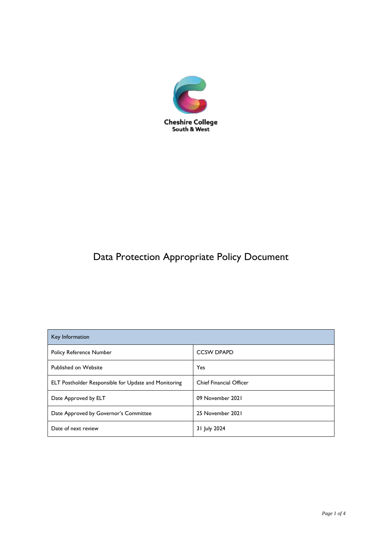

# Data Protection Appropriate Policy Document

| Key Information                                             |                                |
|-------------------------------------------------------------|--------------------------------|
| <b>Policy Reference Number</b>                              | <b>CCSW DPAPD</b>              |
| Published on Website                                        | Yes                            |
| <b>ELT Postholder Responsible for Update and Monitoring</b> | <b>Chief Financial Officer</b> |
| Date Approved by ELT                                        | 09 November 2021               |
| Date Approved by Governor's Committee                       | 25 November 2021               |
| Date of next review                                         | 31 July 2024                   |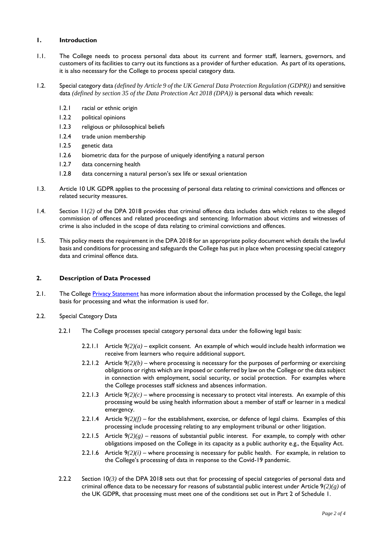## **1. Introduction**

- 1.1. The College needs to process personal data about its current and former staff, learners, governors, and customers of its facilities to carry out its functions as a provider of further education. As part of its operations, it is also necessary for the College to process special category data.
- 1.2. Special category data *(defined by Article 9 of the UK General Data Protection Regulation (GDPR))* and sensitive data *(defined by section 35 of the Data Protection Act 2018 (DPA))* is personal data which reveals:
	- 1.2.1 racial or ethnic origin
	- 1.2.2 political opinions
	- 1.2.3 religious or philosophical beliefs
	- 1.2.4 trade union membership
	- 1.2.5 genetic data
	- 1.2.6 biometric data for the purpose of uniquely identifying a natural person
	- 1.2.7 data concerning health
	- 1.2.8 data concerning a natural person's sex life or sexual orientation
- 1.3. Article 10 UK GDPR applies to the processing of personal data relating to criminal convictions and offences or related security measures.
- 1.4. Section 11*(2)* of the DPA 2018 provides that criminal offence data includes data which relates to the alleged commission of offences and related proceedings and sentencing. Information about victims and witnesses of crime is also included in the scope of data relating to criminal convictions and offences.
- 1.5. This policy meets the requirement in the DPA 2018 for an appropriate policy document which details the lawful basis and conditions for processing and safeguards the College has put in place when processing special category data and criminal offence data.

## **2. Description of Data Processed**

- 2.1. The College [Privacy Statement](file:///C:/Users/Gareth.Jones/Downloads/ccsw.ac.uk/privacy-statement/) has more information about the information processed by the College, the legal basis for processing and what the information is used for.
- 2.2. Special Category Data
	- 2.2.1 The College processes special category personal data under the following legal basis:
		- 2.2.1.1 Article 9*(2)(a)* explicit consent. An example of which would include health information we receive from learners who require additional support.
		- 2.2.1.2 Article 9*(2)(b)* where processing is necessary for the purposes of performing or exercising obligations or rights which are imposed or conferred by law on the College or the data subject in connection with employment, social security, or social protection. For examples where the College processes staff sickness and absences information.
		- 2.2.1.3 Article 9*(2)(c)* where processing is necessary to protect vital interests. An example of this processing would be using health information about a member of staff or learner in a medical emergency.
		- 2.2.1.4 Article 9*(2)(f)* for the establishment, exercise, or defence of legal claims. Examples of this processing include processing relating to any employment tribunal or other litigation.
		- 2.2.1.5 Article  $9(2)(g)$  reasons of substantial public interest. For example, to comply with other obligations imposed on the College in its capacity as a public authority e.g., the Equality Act.
		- 2.2.1.6 Article  $9(2)(i)$  where processing is necessary for public health. For example, in relation to the College's processing of data in response to the Covid-19 pandemic.
	- 2.2.2 Section 10*(3)* of the DPA 2018 sets out that for processing of special categories of personal data and criminal offence data to be necessary for reasons of substantial public interest under Article 9*(2)(g)* of the UK GDPR, that processing must meet one of the conditions set out in Part 2 of Schedule 1.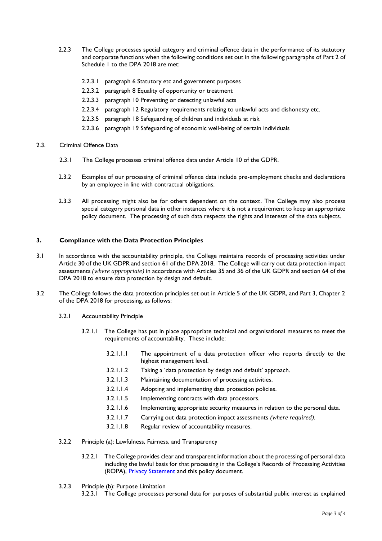- 2.2.3 The College processes special category and criminal offence data in the performance of its statutory and corporate functions when the following conditions set out in the following paragraphs of Part 2 of Schedule 1 to the DPA 2018 are met:
	- 2.2.3.1 paragraph 6 Statutory etc and government purposes
	- 2.2.3.2 paragraph 8 Equality of opportunity or treatment
	- 2.2.3.3 paragraph 10 Preventing or detecting unlawful acts
	- 2.2.3.4 paragraph 12 Regulatory requirements relating to unlawful acts and dishonesty etc.
	- 2.2.3.5 paragraph 18 Safeguarding of children and individuals at risk
	- 2.2.3.6 paragraph 19 Safeguarding of economic well-being of certain individuals
- 2.3. Criminal Offence Data
	- 2.3.1 The College processes criminal offence data under Article 10 of the GDPR.
	- 2.3.2 Examples of our processing of criminal offence data include pre-employment checks and declarations by an employee in line with contractual obligations.
	- 2.3.3 All processing might also be for others dependent on the context. The College may also process special category personal data in other instances where it is not a requirement to keep an appropriate policy document. The processing of such data respects the rights and interests of the data subjects.

### **3. Compliance with the Data Protection Principles**

- 3.1 In accordance with the accountability principle, the College maintains records of processing activities under Article 30 of the UK GDPR and section 61 of the DPA 2018. The College will carry out data protection impact assessments *(where appropriate)* in accordance with Articles 35 and 36 of the UK GDPR and section 64 of the DPA 2018 to ensure data protection by design and default.
- 3.2 The College follows the data protection principles set out in Article 5 of the UK GDPR, and Part 3, Chapter 2 of the DPA 2018 for processing, as follows:
	- 3.2.1 Accountability Principle
		- 3.2.1.1 The College has put in place appropriate technical and organisational measures to meet the requirements of accountability. These include:
			- 3.2.1.1.1 The appointment of a data protection officer who reports directly to the highest management level.
			- 3.2.1.1.2 Taking a 'data protection by design and default' approach.
			- 3.2.1.1.3 Maintaining documentation of processing activities.
			- 3.2.1.1.4 Adopting and implementing data protection policies.
			- 3.2.1.1.5 Implementing contracts with data processors.
			- 3.2.1.1.6 Implementing appropriate security measures in relation to the personal data.
			- 3.2.1.1.7 Carrying out data protection impact assessments *(where required)*.
			- 3.2.1.1.8 Regular review of accountability measures.
	- 3.2.2 Principle (a): Lawfulness, Fairness, and Transparency
		- 3.2.2.1 The College provides clear and transparent information about the processing of personal data including the lawful basis for that processing in the College's Records of Processing Activities (ROPA), [Privacy Statement](https://www.ccsw.ac.uk/privacy-statement/) and this policy document.
	- 3.2.3 Principle (b): Purpose Limitation
		- 3.2.3.1 The College processes personal data for purposes of substantial public interest as explained